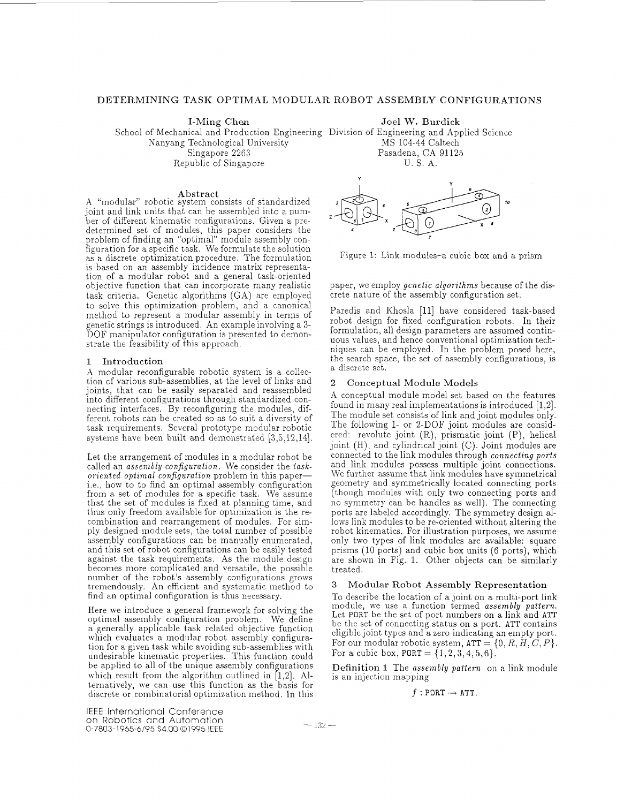# DETERMINING TASK OPTIMAL MODULAR ROBOT ASSEMBLY CONFIGURATIONS

I-Ming Chen Joel W. Burdick

Nanyang Technological University Singapore 2263 Republic of Singapore School of Mechanical and Production Engineering Division of Engineering and Applied Science MS 104-44 Caltech Pasadena, CA 91125 U. S. A.

Abstract A "modular" robotic system consists of standardized joint and link units that can be assembled into a number of different kinematic configurations. Given a predetermined set of modules, this paper considers the problem of finding an "optimal" module assembly conas a discrete optimization procedure. The formulation is based on an assembly incidence matrix representation of a modular robot and a general task-oriented objective function that can incorporate many realistic task criteria. Genetic algorithms (GA) are employed to solve this optimization problem, and a canonical method to represent a modular assembly in terms of genetic strings is introduced. An example involving a 3- DOF manipulator configuration is presented to demonstrate the feasibility of this approach.

#### **1** Introduction

A modular reconfigurable robotic system is a collection of various sub-assemblies, at the level of links and joints, that can be easily separated and reassembled into different configurations through standardized connecting interfaces. By reconfiguring the modules, different robots can be created so as to suit a diversity of task requirements. Several prototype modular robotic systems have been built and demonstrated [3,5,12,14].

Let the arrangement of modules in a modular robot be called an *assembly configuration.* We consider the *taskoriented optimal configuration* problem in this paperi.e., how to to find an optimal assembly configuration from a set of modules for a specific task. We assume that the set of modules is fixed at planning time, and thus only freedom available for optimization is the recombination and rearrangement of modules. For simply designed module sets, the total number of possible assembly configurations can be manually enumerated, and this set of robot configurations can be easily tested against the task requirements. As the module design becomes more complicated and versatile, the possible number of the robot's assembly configurations grows tremendously. An efficient and systematic method to find an optimal configuration is thus necessary.

Here we introduce a general framework for solving the optimal assembly configuration problem. We define a generally applicable task related objective function which evaluates a modular robot assembly configuration for a given task while avoiding sub-assemblies with undesirable kinematic properties. This function could be applied to all of the unique assembly configurations which result from the algorithm outlined in [1,2]. Alternatively, we can use this function as the basis for discrete or combinatorial optimization method. In this



Figure 1: Link modules-a cubic box and a prism

paper, we employ *genetic algorithms* because of the discrete nature of the assembly configuration set.

Paredis and Khosla [ll] have considered task-based robot design for fixed configuration robots. In their formulation, all design parameters are assumed continuous values, and hence conventional optimization techniques can be employed. In the problem posed here, the search space, the set of assembly configurations, is a discrete set.

### *2* Conceptual Module Models

A conceptual module model set based on the features found in many real implementations is introduced  $[1,2]$ . The module set consists of link and joint modules only. The following 1- or 2-DOF joint modules are considered: revolute joint (R), prismatic joint (P), helical joint (H), and cylindrical joint (C). Joint modules are connected to the link modules through *connecting ports*  and link modules possess multiple joint connections. We further assume that link modules have symmetrical geometry and symmetrically located connecting ports (though modules with only two connecting ports and no symmetry can be handles as well). The connecting ports are labeled accordingly. The symmetry design allows link modules to be re-oriented without altering the robot kinematics. For illustration purposes, we assume only two types of link modules are available: square prisms (10 ports) and cubic box units (6 ports), which are shown in Fig. 1. Other objects can be similarly treated.

### **3** Modular Robot Assembly Representation

To describe the location of a joint on a multi-port link module, we use a function termed *assembly pattern.*  Let PORT be the set of port numbers on a link and ATT be the set of connecting status on a port. ATT contains eligible joint types and a zero indicating an empty port. For our modular robotic system,  $ATT = \{0, R, H, C, P\}.$ For a cubic box,  $PORT = \{1, 2, 3, 4, 5, 6\}.$ 

Definition **1** The *assembly patfern* on a link module is an injection mapping

 $f:$  PORT  $\rightarrow$  ATT.

IEEE International Conference on Robotics and Automation 0-7803-1965-6/95 \$4.00 01995 IEEE - 132 -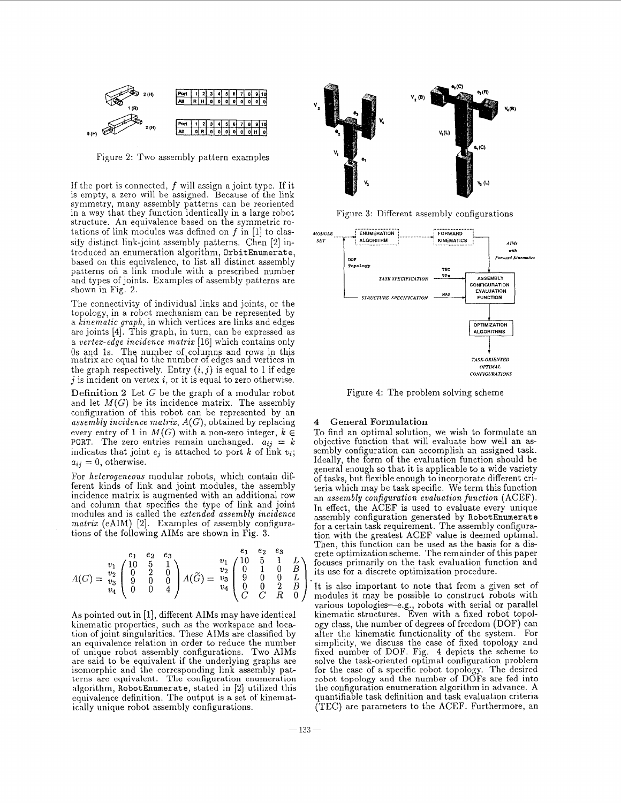

Figure 2: Two assembly pattern examples

If the port is connected,  $f$  will assign a joint type. If it is empty, a zero will be assigned. Because of the link symmetry, many assembly patterns can be reoriented in a way that they function identically in a large robot structure. An equivalence based on the symmetric rotations of link modules was defined on  $f$  in [1] to classify distinct link-joint assembly patterns. Chen *[a]* introduced an enumeration algorithm, **OrbitEnumerate,**  based on this equivalence, to list all distinct assembly patterns on a link module with a prescribed number and types of joints. Examples of assembly patterns are shown in Fig. 2.

The connectivity of individual links and joints, or the topology, in a robot mechanism can be represented by a *kinematic graph*, in which vertices are links and edges are joints **[4].** This graph, in turn, can be expressed as a *vertex-edge incidence matrix* [16] which contains only Os and 1s. The number of columns and rows in this matrix are equal to the number of edges and vertices in the graph respectively. Entry  $(i,j)$  is equal to 1 if edge j is incident on vertex *i,* or it is equal to zero otherwise.

Definition 2 Let G be the graph of a modular robot and let  $M(G)$  be its incidence matrix. The assembly configuration of this robot can be represented by an *assembly incidence matrix, A(G),* obtained by replacing every entry of 1 in  $M(G)$  with a non-zero integer,  $k \in$ PORT. The zero entries remain unchanged.  $a_{ij} = k$ indicates that joint  $e_j$  is attached to port  $k$  of link  $v_i$ ;  $a_{ij} = 0$ , otherwise.

For *heterogeneous* modular robots, which contain different kinds of link and joint modules, the assembly incidence matrix is augmented with an additional row and column that specifies the type of link and joint modules and is called the *extended assembly incidence mafrix* (eAIR4) *[a].* Examples of assembly configurations of the following AIMs are shown in Fig. **3.** 

$$
A(G) = \begin{pmatrix} e_1 & e_2 & e_3 \\ v_1 & 1 & 5 & 1 \\ v_2 & 0 & 2 & 0 \\ v_3 & 0 & 0 & 4 \end{pmatrix} A(\widetilde{G}) = \begin{pmatrix} e_1 & e_2 & e_3 \\ v_2 & 0 & 1 & 0 \\ v_3 & 0 & 0 & 4 \end{pmatrix} A(\widetilde{G}) = \begin{pmatrix} v_1 & 10 & 5 & 1 \\ v_2 & 0 & 1 & 0 \\ v_3 & 0 & 0 & 2 \\ v_4 & 0 & 0 & 2 \end{pmatrix} \begin{pmatrix} 10 & 5 & 1 & L \\ 0 & 1 & 0 & B \\ 0 & 0 & 2 & D \\ C & C & R & 0 \end{pmatrix}
$$

As pointed out in [l], different AIMs may have identical kinematic properties, such as the workspace and location of joint singularities. These AIMS are classified by an equivalence relation in order to reduce the number of unique robot assembly configurations. Two AIR4s are said to be equivalent if the underlying graphs are isomorphic and the corresponding link assembly patterns are equivalent. The configuration enumeration algorithm, RobotEnumerate, stated in [2] utilized this equivalence definition. The output is a set of kinematically unique robot assembly configurations.



Figure **3:** Different assembly configurations



Figure **4:** The problem solving scheme

## General Formulation

To find an optimal solution, we wish to forinulate an objective function that will evaluate how well an assembly configuration can accomplish an assigned task. Ideally, the form of the evaluation function should be general enough so that it is applicable to a wide variety of tasks, but flexible enough to incorporate different criteria which may be task specific. We term this function an *assembly configuration evaluation function* (ACEF). In effect, the ACEF is used to evaluate every unique assembly configuration generated by **RobotEnumerat e**  for a certain task requirement. The assembly configuration with the greatest ACEF value is deemed optimal. Then, this function can be used as the basis for a dis*erete optimization scheme. The remainder of this paper*  $\begin{pmatrix} 1 & 0 & 0 \\ 0 & 1 & 0 \end{pmatrix}$  <sup>v</sup><sub>1</sub>  $\begin{pmatrix} 10 & 5 & 1 \\ 0 & 1 & 0 \end{pmatrix}$  focuses primarily on the task evaluation function and

> It is also important to note that from a given set of modules it may be possible to construct robots with various topologies-e.g., robots with serial or parallel kinematic structures. Even with a fixed robot topology class, the number of degrees of freedom (DOF) can alter the kinematic functionality of the system. For simplicity, we discuss the case of fixed topology and fixed number of DOF. Fig. **4** depicts the scheme to solve the task-oriented optimal configuration problem for the case of a specific robot topology. The desired robot topology **and** the number of DOFs are fed into the configuration enumeration algorithm in advance. **A**  quantifiable task definition and task evaluation criteria (TEC) are parameters to the ACEF. Furthermore, an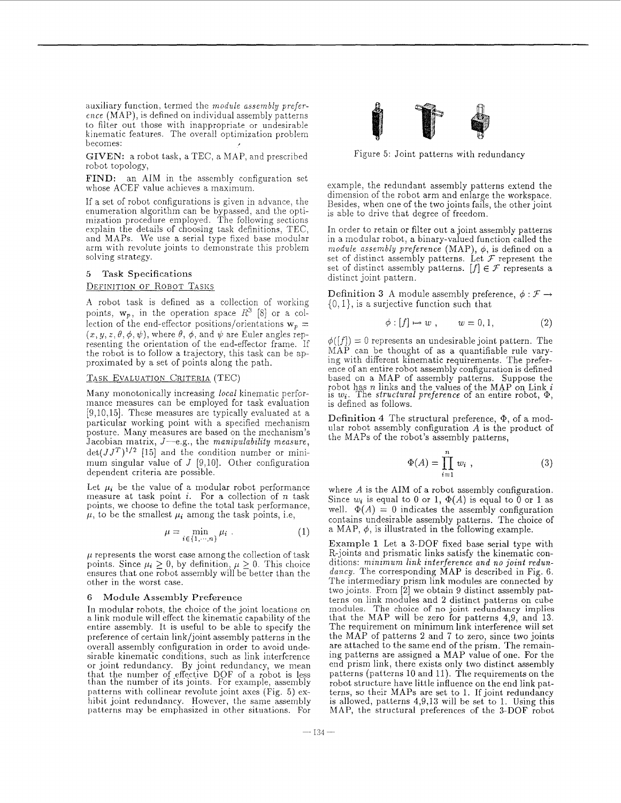auxiliary function, termed the *module assembly prefer- ence* (MAP), is defined on individual assembly patterns to filter out those with inappropriate or undesirable kinematic features. The overall optimization problem becomes: *<sup>I</sup>*

GIVEN: a robot task, a TEC, a MAP, and prescribed robot topology,

FIND: an AIM in the assembly configuration set whose ACEF value achieves a maximum.

If a set of robot configurations is given in advance, the enumeration algorithm can be bypassed, and the optimization procedure employed. The following sections explain the details of choosing task definitions, TEC, and MAPs. We use a serial type fixed base modular arm with revolute joints to demonstrate this problem solving strategy.

# 5 Task Specifications

#### DEFINITION OF ROBOT TASKS

**A** robot task is defined as a collection of working points,  $w_p$ , in the operation space  $R^3$  [8] or a collection of the end-effector positions/orientations  $w_p =$ (x, y, z,  $\theta$ ,  $\phi$ ,  $\psi$ ), where  $\theta$ ,  $\phi$ , and  $\psi$  are Euler angles representing the orientation of the end-effector frame. If the robot is to follow a trajectory, this task can be approximated by a set of points along the path.

#### TASK EVALUATION CRITERIA (TEC)

Many monotonically increasing *local* kinematic performance measures can be employed for task evaluation [9,10,15]. These measures are typically evaluated at a particular working point with a specified mechanism posture. Many measures are based on the mechanism's Jacobian matrix, *J*—e.g., the *manipulability measure*,  $\det(JJ^T)^{1/2}$  [15] and the condition number or minimum singular value of *J* [9,10]. Other configuration dependent criteria are possible.

Let  $\mu_i$  be the value of a modular robot performance measure at task point  $i$ . For a collection of  $n$  task points, we choose to define the total task performance,  $\mu$ , to be the smallest  $\mu_i$  among the task points, i.e,

$$
\mu = \min_{i \in \{1, \cdots, n\}} \mu_i \tag{1}
$$

 $\mu$  represents the worst case among the collection of task points. Since  $\mu_i \geq 0$ , by definition,  $\mu \geq 0$ . This choice ensures that one robot assembly will be better than the other in the worst case.

## 6 Module Assembly Preference

In modular robots, the choice of the joint locations on a link module will effect the kinematic capability of the entire assembly. It is useful to be able to specify the preference of certain link/joint assembly patterns in the overall assembly configuration in order to avoid undesirable kinematic conditions, such as link interference or joint redundancy. By joint redundancy, we mean that the number of effective DOF of **a** robot is less than the number of its joints. For example, assembly patterns with collinear revolute joint axes (Fig. 5) exhibit joint redundancy. However, the same assembly patterns may be emphasized in other situations. For



Figure 5: Joint patterns with redundancy

example, the redundant assembly patterns extend the dimension of the robot arm and enlarge the workspace. Besides, when one of the two joints fails, the other joint is able to drive that degree of freedom.

In order to retain or filter out a joint assembly patterns in a modular robot, a binary-valued function called the *module assembly preference* (MAP),  $\phi$ , is defined on a set of distinct assembly patterns. Let *F* represent the set of distinct assembly patterns.  $[f] \in \mathcal{F}$  represents a distinct joint pattern.

Definition 3 A module assembly preference,  $\phi : \mathcal{F} \rightarrow$  $\{0, 1\}$ , is a surjective function such that

$$
\phi: [f] \mapsto w \;, \qquad w = 0, 1, \tag{2}
$$

 $\phi([f]) = 0$  represents an undesirable joint pattern. The MAP can be thought of as a quantifiable rule varying with different kinematic requirements. The prefer- ence of an entire robot assembly configuration is defined based on a MAP of assembly patterns. Suppose the robot has *n* links and the values of the MAP on Link *i* is  $w_i$ . The *structural preference* of an entire robot,  $\Phi$ , is defined as follows.

Definition **4** The structural preference, @, of a modular robot assembly configuration *A* is the product of the MAPs of the robot's assembly patterns,

$$
\Phi(A) = \prod_{i=1}^{n} w_i , \qquad (3)
$$

where *A* is the AIM of a robot assembly configuration. Since  $w_i$  is equal to 0 or 1,  $\Phi(A)$  is equal to 0 or 1 as well.  $\Phi(A) = 0$  indicates the assembly configuration contains undesirable assembly patterns. The choice of a MAP,  $\phi$ , is illustrated in the following example.

Example 1 Let a 3-DQF fixed base serial type with R-joints and prismatic links satisfy the kinematic conditions: *minimum link interference and no joint redundancy.* The corresponding MAP is described in Fig. 6. The intermediary prism link modules are connected by two joints. From [2] we obtain 9 distinct assembly patterns on link modules and 2 distinct patterns on cube modules. The choice of no joint redundancy implies that the MAP will be zero for patterns 4,9, and 13. The requirement on minimum link interference will set the MAP of patterns 2 and 7 to zero, since two joints are attached to the same end of the prism. The remaining patterns are assigned a MAP value of one. For the end prism link, there exists only two distinct assembly patterns (patterns 10 and 11). The requirements on the robot structure have little influence on the end link patterns, so their MAPs are set to 1. If joint redundancy is allowed, patterns  $4,9,13$  will be set to 1. Using this MAP, the structural preferences of the 3-DOF robot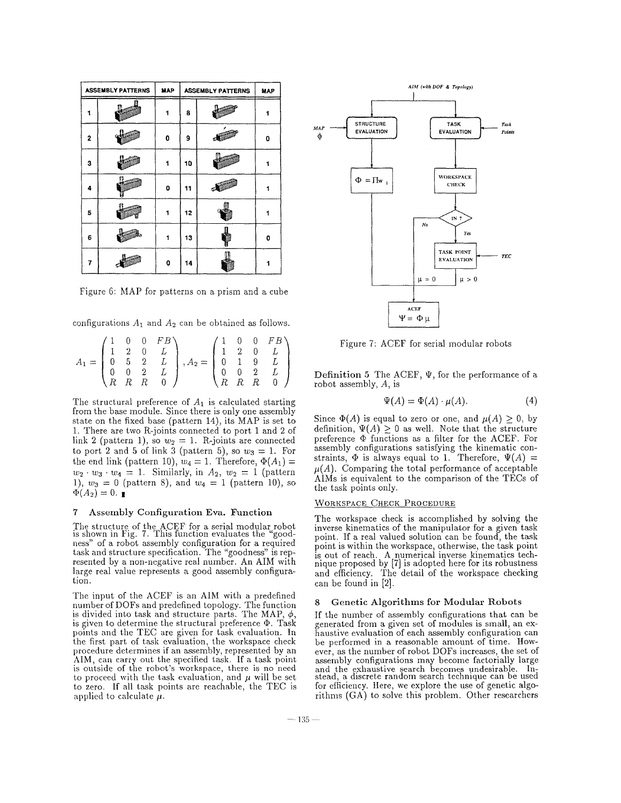|   | <b>ASSEMBLY PATTERNS</b> | MAP | <b>ASSEMBLY PATTERNS</b> | MAP |   |
|---|--------------------------|-----|--------------------------|-----|---|
| 1 |                          |     | 8                        |     |   |
| 2 |                          | 0   | 9                        |     | ٥ |
| 3 |                          |     | 10                       |     |   |
| Δ |                          | 0   | 11                       |     |   |
| 5 |                          | 1   | 12                       |     | 1 |
| 6 |                          | 1   | 13                       |     | 0 |
| 7 |                          | 0   | 14                       |     |   |

Figure 6: MAP for patterns on a prism and a cube

configurations  $A_1$  and  $A_2$  can be obtained as follows.

|  |  | $\begin{pmatrix} 1 & 0 & 0 & FB \end{pmatrix}$ |                                                                                                                                                                                                                                                |  | $\begin{pmatrix} 1 & 0 & 0 & FB \end{pmatrix}$ |
|--|--|------------------------------------------------|------------------------------------------------------------------------------------------------------------------------------------------------------------------------------------------------------------------------------------------------|--|------------------------------------------------|
|  |  |                                                |                                                                                                                                                                                                                                                |  |                                                |
|  |  |                                                |                                                                                                                                                                                                                                                |  |                                                |
|  |  |                                                |                                                                                                                                                                                                                                                |  |                                                |
|  |  |                                                | $A_1 = \begin{pmatrix} 1 & 2 & 0 & 1 & 0 \ 1 & 2 & 0 & L \ 0 & 5 & 2 & L \ 0 & 0 & 2 & L \ R & R & R & 0 \end{pmatrix}, A_2 = \begin{pmatrix} 1 & 2 & 0 & 1 & 0 \ 1 & 2 & 0 & L \ 0 & 1 & 9 & L \ 0 & 0 & 2 & L \ R & R & R & 0 \end{pmatrix}$ |  |                                                |

The structural preference of *AI* is calculated starting from the base module. Since there is only one assembly state on the fixed base (pattern 14), its MAP is set to 1. There are two R-joints connected to port 1 and 2 of link 2 (pattern 1), so  $w_2 = 1$ . R-joints are connected to port 2 and 5 of link 3 (pattern 5), so  $w_3 = 1$ . For the end link (pattern 10),  $w_4 = 1$ . Therefore,  $\Phi(A_1) =$  $w_2 \cdot w_3 \cdot w_4 = 1$ . Similarly, in  $A_2$ ,  $w_2 = 1$  (pattern 1),  $w_3 = 0$  (pattern 8), and  $w_4 = 1$  (pattern 10), so  $\Phi(A_2) = 0.$ 

## **7 Assembly** Configuration Eva. Function

The structure of the ACEF for a serial modular robot is shown in Fig. 7. This function evaluates the "goodness" of a robot assembly configuration for a required task and structure specification. The "goodness" is represented by a non-negative real number. An AIM with large real value represents a good assembly configuration.

The input of the ACEF is an AIM with a predefined number of DOFs and predefined topology. The function is divided into task and structure parts. The MAP,  $\phi$ , is given to determine the structural preference  $\Phi$ . Task points and the TEC are given for task evaluation. In the first part of task evaluation, the workspace check procedure determines if an assembly, represented by an AIM, can carry out the specified task. If a task point is outside of the robot's workspace, there is no need to proceed with the task evaluation, and  $\mu$  will be set to zero. If all task points are reachable, the TEC is applied to calculate  $\mu$ .



Figure 7: ACEF for serial modular robots

**Definition 5** The ACEF,  $\Psi$ , for the performance of a robot assembly,  $A$ , is

$$
\Psi(A) = \Phi(A) \cdot \mu(A). \tag{4}
$$

Since  $\Phi(A)$  is equal to zero or one, and  $\mu(A) \geq 0$ , by definition,  $\Psi(A) > 0$  as well. Note that the structure preference @ functions as a filter for the ACEF. For assembly configurations satisfying the kinematic constraints,  $\Phi$  is always equal to 1. Therefore,  $\Psi(A)$  =  $\mu(A)$ . Comparing the total performance of acceptable AIMS is equivalent to the comparison of the TECs of the task points only.

#### WORKSPACE CHECK PROCEDURE

The workspace check is accomplished by solving the inverse kinematics of the manipulator for a given task point. If a real valued solution can be found, the task point is within the workspace, otherwise, the task point is out of reach. A numerical inverse kinematics technique proposed by [7] is adopted here for its robustness and efficiency. The detail of the workspace checking can be found in [2].

#### *8* **Genetic** Algorithms **for** Modular Robots

If the number of assembly configurations that can be generated from a given set of modules is small, an ex-<br>haustive evaluation of each assembly configuration can<br>be performed in a reasonable amount of time. However, as the number of robot DOFs increases, the set of assembly configurations may become factorially large and the exhaustive search becomes undesirable. In-stead, a discrete random search technique can be used for efficiency. Here, we explore the use of genetic algorithms (GA) to solve this problem. Other researchers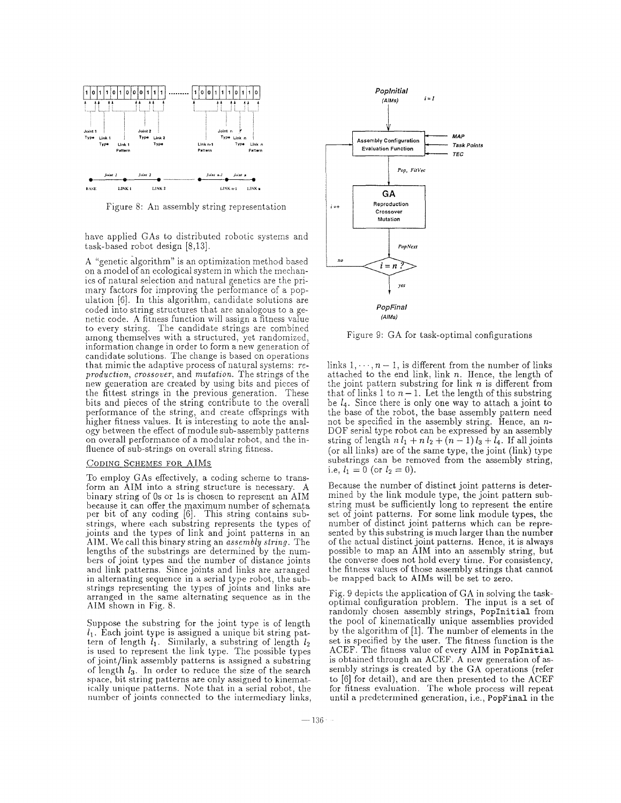

Figure 8: An assembly string representation

have applied GAS to distributed robotic systems and task-based robot design [8,13].

**A** "genetic algorithm" is an optimization method based on a model of an ecological system in which the mechanics of natural selection and natural genetics are the primary factors for improving the performance of a population *[6].* In this algorithm, candidate solutions are coded into string structures that are analogous to a genetic code. A fitness function will assign a fitness value to every string. The candidate strings are combined among themselves with a structured, yet randomized, information change in order to form a new generation of candidate solutions. The change is based on operations that mimic the adaptive process of natural systems: reproduction, crossover, and *mutation*. The strings of the new generation are created by using bits and pieces of the fittest strings in the previous generation. These bits and pieces of the string contribute to the overall performance of the string, and create offsprings with higher fitness values. It is interesting to note the analogy between the effect of module sub-assembly patterns on overall performance of a modular robot, and the influence of sub-strings on overall string fitness.

### CODING SCHEMES FOR AIMS

To employ GAS effectively, a coding scheme to transform an AIM into a string structure is necessary. **A**  binary string of Os or Is is chosen to represent an AIM because it can offer.the maximum number of schemata per bit of any coding [6]. This string contains substrings, where each substring represents the types of joints and the types of link and joint patterns in an AIM. We call this binary string an *assembly string*. The lengths of the substrings are determined by the numbers of joint types and the number of distance joints and link patterns. Since joints and links are arranged in alternating sequence in a serial type robot, the substrings representing the types of joints and links are arranged in the same alternating sequence as in the **AIM** shown in Fig. 8.

Suppose the substring for the joint type is of length *11.* Each joint type is assigned a unique bit string pattern of length  $l_1$ . Similarly, a substring of length  $l_2$ is used to represent the link type. The possible types of joint/link assembly patterns is assigned a substring of length  $l_3$ . In order to reduce the size of the search space, bit string patterns are only assigned to kinematically unique patterns. Note that in a serial robot, the number of joints connected to the intermediary links,



Figure 9: GA for task-optimal configurations

links  $1, \dots, n-1$ , is different from the number of links attached to the end link, link *n.* Hence, the length of the joint pattern substring for link *n* is different from that of links 1 to  $n-1$ . Let the length of this substring be *14.* Since there is only one way to attach a joint to the base of the robot, the base assembly pattern need not be specified in the assembly string. Hence, an *n-* DOF serial type robot can be expressed by an assembly DOF serial type robot can be expressed by an assembly string of length  $n l_1 + n l_2 + (n - 1) l_3 + l_4$ . If all joints (or all links) are of the same type, the joint (link) type substrings can be removed from the assembly string, i.e,  $l_1 = 0$  (or  $l_2 = 0$ ).

Because the number of distinct joint patterns is determined by the link module type, the joint pattern substring must be sufficiently long to represent the entire set of joint patterns. For some link module types, the number of distinct joint patterns which can be represented by this substring is much larger than the number of the actual distinct joint patterns. Hence, it is always possible to map an AIM into an assembly string, but the converse does not hold every time. For consistency, the fitness values of those assembly strings that cannot be mapped back to AIMS will be set to zero.

Fig. 9 depicts the application of GA in solving the taskoptimal configuration problem. The input is a set of randomly chosen assembly strings, PopInitial from the pool of kinematically unique assemblies provided by the algorithm of  $[1]$ . The number of elements in the set is specified by the user. The fitness function is the ACEF. The fitness value of every AIM in PopInitial is obtained through an ACEF. **A** new generation of assembly strings is created by the GA operations (refer to  $[6]$  for detail), and are then presented to the ACEF for fitness evaluation. The whole process will repeat until a predetermined generation, i.e., PopFinal in the